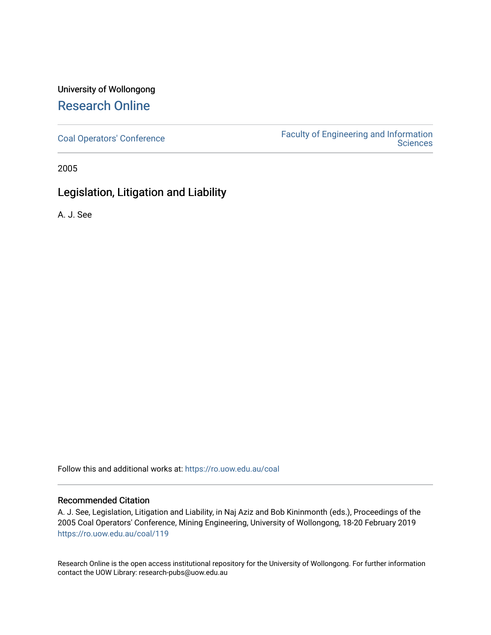# University of Wollongong [Research Online](https://ro.uow.edu.au/)

[Coal Operators' Conference](https://ro.uow.edu.au/coal) [Faculty of Engineering and Information](https://ro.uow.edu.au/eis)  **Sciences** 

2005

# Legislation, Litigation and Liability

A. J. See

Follow this and additional works at: [https://ro.uow.edu.au/coal](https://ro.uow.edu.au/coal?utm_source=ro.uow.edu.au%2Fcoal%2F119&utm_medium=PDF&utm_campaign=PDFCoverPages) 

# Recommended Citation

A. J. See, Legislation, Litigation and Liability, in Naj Aziz and Bob Kininmonth (eds.), Proceedings of the 2005 Coal Operators' Conference, Mining Engineering, University of Wollongong, 18-20 February 2019 [https://ro.uow.edu.au/coal/119](https://ro.uow.edu.au/coal/119?utm_source=ro.uow.edu.au%2Fcoal%2F119&utm_medium=PDF&utm_campaign=PDFCoverPages) 

Research Online is the open access institutional repository for the University of Wollongong. For further information contact the UOW Library: research-pubs@uow.edu.au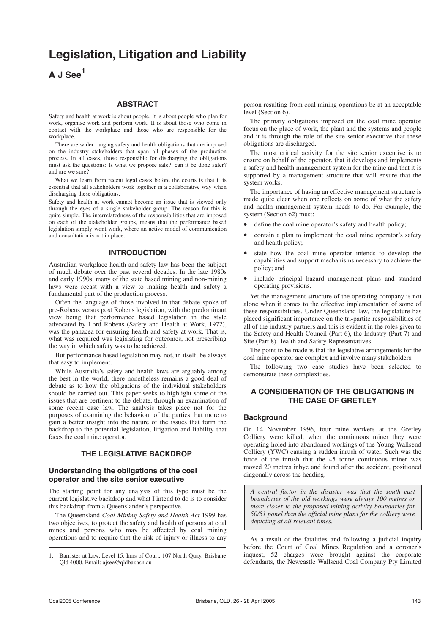# **Legislation, Litigation and Liability**

# **A J See1**

#### **ABSTRACT**

Safety and health at work is about people. It is about people who plan for work, organise work and perform work. It is about those who come in contact with the workplace and those who are responsible for the workplace.

There are wider ranging safety and health obligations that are imposed on the industry stakeholders that span all phases of the production process. In all cases, those responsible for discharging the obligations must ask the questions: Is what we propose safe?, can it be done safer? and are we sure?

What we learn from recent legal cases before the courts is that it is essential that all stakeholders work together in a collaborative way when discharging these obligations.

Safety and health at work cannot become an issue that is viewed only through the eyes of a single stakeholder group. The reason for this is quite simple. The interrelatedness of the responsibilities that are imposed on each of the stakeholder groups, means that the performance based legislation simply wont work, where an active model of communication and consultation is not in place.

### **INTRODUCTION**

Australian workplace health and safety law has been the subject of much debate over the past several decades. In the late 1980s and early 1990s, many of the state based mining and non-mining laws were recast with a view to making health and safety a fundamental part of the production process.

Often the language of those involved in that debate spoke of pre-Robens versus post Robens legislation, with the predominant view being that performance based legislation in the style advocated by Lord Robens (Safety and Health at Work, 1972), was the panacea for ensuring health and safety at work. That is, what was required was legislating for outcomes, not prescribing the way in which safety was to be achieved.

But performance based legislation may not, in itself, be always that easy to implement.

While Australia's safety and health laws are arguably among the best in the world, there nonetheless remains a good deal of debate as to how the obligations of the individual stakeholders should be carried out. This paper seeks to highlight some of the issues that are pertinent to the debate, through an examination of some recent case law. The analysis takes place not for the purposes of examining the behaviour of the parties, but more to gain a better insight into the nature of the issues that form the backdrop to the potential legislation, litigation and liability that faces the coal mine operator.

# **THE LEGISLATIVE BACKDROP**

#### **Understanding the obligations of the coal operator and the site senior executive**

The starting point for any analysis of this type must be the current legislative backdrop and what I intend to do is to consider this backdrop from a Queenslander's perspective.

The Queensland *Coal Mining Safety and Health Act* 1999 has two objectives, to protect the safety and health of persons at coal mines and persons who may be affected by coal mining operations and to require that the risk of injury or illness to any person resulting from coal mining operations be at an acceptable level (Section 6).

The primary obligations imposed on the coal mine operator focus on the place of work, the plant and the systems and people and it is through the role of the site senior executive that these obligations are discharged.

The most critical activity for the site senior executive is to ensure on behalf of the operator, that it develops and implements a safety and health management system for the mine and that it is supported by a management structure that will ensure that the system works.

The importance of having an effective management structure is made quite clear when one reflects on some of what the safety and health management system needs to do. For example, the system (Section 62) must:

- define the coal mine operator's safety and health policy;
- contain a plan to implement the coal mine operator's safety and health policy;
- state how the coal mine operator intends to develop the capabilities and support mechanisms necessary to achieve the policy; and
- include principal hazard management plans and standard operating provisions.

Yet the management structure of the operating company is not alone when it comes to the effective implementation of some of these responsibilities. Under Queensland law, the legislature has placed significant importance on the tri-partite responsibilities of all of the industry partners and this is evident in the roles given to the Safety and Health Council (Part 6), the Industry (Part 7) and Site (Part 8) Health and Safety Representatives.

The point to be made is that the legislative arrangements for the coal mine operator are complex and involve many stakeholders.

The following two case studies have been selected to demonstrate these complexities.

### **A CONSIDERATION OF THE OBLIGATIONS IN THE CASE OF GRETLEY**

#### **Background**

On 14 November 1996, four mine workers at the Gretley Colliery were killed, when the continuous miner they were operating holed into abandoned workings of the Young Wallsend Colliery (YWC) causing a sudden inrush of water. Such was the force of the inrush that the 45 tonne continuous miner was moved 20 metres inbye and found after the accident, positioned diagonally across the heading.

*A central factor in the disaster was that the south east boundaries of the old workings were always 100 metres or more closer to the proposed mining activity boundaries for 50/51 panel than the official mine plans for the colliery were depicting at all relevant times.*

As a result of the fatalities and following a judicial inquiry before the Court of Coal Mines Regulation and a coroner's inquest, 52 charges were brought against the corporate defendants, the Newcastle Wallsend Coal Company Pty Limited

<sup>1.</sup> Barrister at Law, Level 15, Inns of Court, 107 North Quay, Brisbane Qld 4000. Email: ajsee@qldbar.asn.au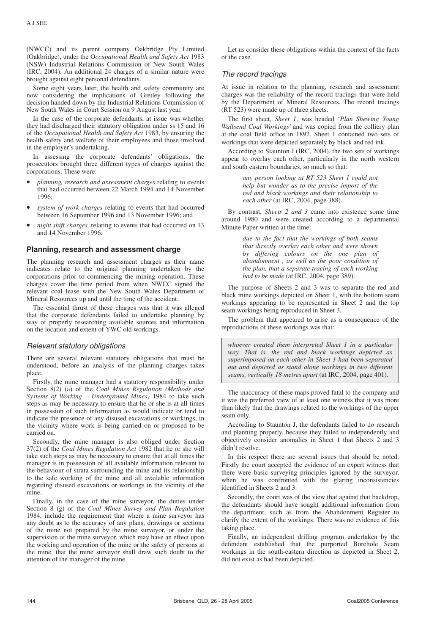(NWCC) and its parent company Oakbridge Pty Limited (Oakbridge), under the O*ccupational Health and Safety Act* 1983 (NSW) Industrial Relations Commission of New South Wales (IRC, 2004). An additional 24 charges of a similar nature were brought against eight personal defendants.

Some eight years later, the health and safety community are now considering the implications of Gretley following the decision handed down by the Industrial Relations Commission of New South Wales in Court Session on 9 August last year.

In the case of the corporate defendants, at issue was whether they had discharged their statutory obligation under ss 15 and 16 of the *Occupational Health and Safety Act* 1983, by ensuring the health safety and welfare of their employees and those involved in the employer's undertaking.

In assessing the corporate defendants' obligations, the prosecutors brought three different types of charges against the corporations. These were:

- *planning, research and assessment charges* relating to events that had occurred between 22 March 1994 and 14 November 1996;
- *system of work charges* relating to events that had occurred between 16 September 1996 and 13 November 1996; and
- *night shift charges,* relating to events that had occurred on 13 and 14 November 1996.

#### **Planning, research and assessment charge**

The planning research and assessment charges as their name indicates relate to the original planning undertaken by the corporations prior to commencing the mining operation. These charges cover the time period from when NWCC signed the relevant coal lease with the New South Wales Department of Mineral Resources up and until the time of the accident.

The essential thrust of these charges was that it was alleged that the corporate defendants failed to undertake planning by way of properly researching available sources and information on the location and extent of YWC old workings.

#### Relevant statutory obligations

There are several relevant statutory obligations that must be understood, before an analysis of the planning charges takes place.

Firstly, the mine manager had a statutory responsibility under Section 8(2) (a) of the *Coal Mines Regulation (Methods and Systems of Working – Underground Mines)* 1984 to take such steps as may be necessary to ensure that he or she is at all times in possession of such information as would indicate or tend to indicate the presence of any disused excavations or workings, in the vicinity where work is being carried on or proposed to be carried on.

Secondly, the mine manager is also obliged under Section 37(2) of the *Coal Mines Regulation Act* 1982 that he or she will take such steps as may be necessary to ensure that at all times the manager is in possession of all available information relevant to the behaviour of strata surrounding the mine and its relationship to the safe working of the mine and all available information regarding disused excavations or workings in the vicinity of the mine.

Finally, in the case of the mine surveyor, the duties under Section 8 (g) of the *Coal Mines Survey and Plan Regulation* 1984, include the requirement that where a mine surveyor has any doubt as to the accuracy of any plans, drawings or sections of the mine not prepared by the mine surveyor, or under the supervision of the mine surveyor, which may have an effect upon the working and operation of the mine or the safety of persons at the mine, that the mine surveyor shall draw such doubt to the attention of the manager of the mine.

Let us consider these obligations within the context of the facts of the case.

#### The record tracings

At issue in relation to the planning, research and assessment charges was the reliability of the record tracings that were held by the Department of Mineral Resources. The record tracings (RT 523) were made up of three sheets.

The first sheet, *Sheet 1*, was headed '*Plan Shewing Young Wallsend Coal Workings'* and was copied from the colliery plan at the coal field office in 1892. Sheet 1 contained two sets of workings that were depicted separately by black and red ink.

According to Staunton J (IRC, 2004), the two sets of workings appear to overlay each other, particularly in the north western and south eastern boundaries, so much so that:

> *any person looking at RT 523 Sheet 1 could not help but wonder as to the precise import of the red and black workings and their relationship to each other* (at IRC, 2004, page 388).

By contrast, *Sheets 2 and 3* came into existence some time around 1980 and were created according to a departmental Minute Paper written at the time:

> *due to the fact that the workings of both seams that directly overlay each other and were shown by differing colours on the one plan of abandonment , as well as the poor condition of the plan, that a separate tracing of each working had to be made* (at IRC, 2004, page 389).

The purpose of Sheets 2 and 3 was to separate the red and black mine workings depicted on Sheet 1, with the bottom seam workings appearing to be represented in Sheet 2 and the top seam workings being reproduced in Sheet 3.

The problem that appeared to arise as a consequence of the reproductions of these workings was that:

*whoever created them interpreted Sheet 1 in a particular way. That is, the red and black workings depicted as superimposed on each other in Sheet 1 had been separated out and depicted as stand alone workings in two different seams, vertically 18 metres apart* (at IRC, 2004, page 401).

The inaccuracy of these maps proved fatal to the company and it was the preferred view of at least one witness that it was more than likely that the drawings related to the workings of the upper seam only.

According to Staunton J, the defendants failed to do research and planning properly, because they failed to independently and objectively consider anomalies in Sheet 1 that Sheets 2 and 3 didn't resolve.

In this respect there are several issues that should be noted. Firstly the court accepted the evidence of an expert witness that there were basic surveying principles ignored by the surveyor, when he was confronted with the glaring inconsistencies identified in Sheets 2 and 3.

Secondly, the court was of the view that against that backdrop, the defendants should have sought additional information from the department, such as from the Abandonment Register to clarify the extent of the workings. There was no evidence of this taking place.

Finally, an independent drilling program undertaken by the defendant established that the purported Borehole Seam workings in the south-eastern direction as depicted in Sheet 2, did not exist as had been depicted.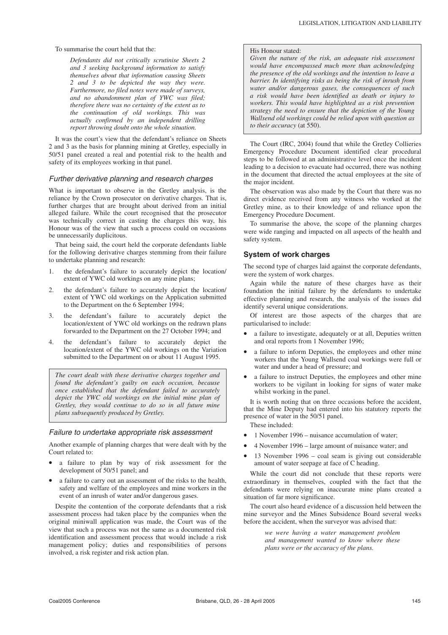To summarise the court held that the:

*Defendants did not critically scrutinise Sheets 2 and 3 seeking background information to satisfy themselves about that information causing Sheets 2 and 3 to be depicted the way they were. Furthermore, no filed notes were made of surveys, and no abandonment plan of YWC was filed; therefore there was no certainty of the extent as to the continuation of old workings. This was actually confirmed by an independent drilling report throwing doubt onto the whole situation.*

It was the court's view that the defendant's reliance on Sheets 2 and 3 as the basis for planning mining at Gretley, especially in 50/51 panel created a real and potential risk to the health and safety of its employees working in that panel.

#### Further derivative planning and research charges

What is important to observe in the Gretley analysis, is the reliance by the Crown prosecutor on derivative charges. That is, further charges that are brought about derived from an initial alleged failure. While the court recognised that the prosecutor was technically correct in casting the charges this way, his Honour was of the view that such a process could on occasions be unnecessarily duplicitous.

That being said, the court held the corporate defendants liable for the following derivative charges stemming from their failure to undertake planning and research:

- 1. the defendant's failure to accurately depict the location/ extent of YWC old workings on any mine plans;
- 2. the defendant's failure to accurately depict the location/ extent of YWC old workings on the Application submitted to the Department on the 6 September 1994;
- 3. the defendant's failure to accurately depict the location/extent of YWC old workings on the redrawn plans forwarded to the Department on the 27 October 1994; and
- 4. the defendant's failure to accurately depict the location/extent of the YWC old workings on the Variation submitted to the Department on or about 11 August 1995.

*The court dealt with these derivative charges together and found the defendant's guilty on each occasion, because once established that the defendant failed to accurately depict the YWC old workings on the initial mine plan of Gretley, they would continue to do so in all future mine plans subsequently produced by Gretley.*

#### Failure to undertake appropriate risk assessment

Another example of planning charges that were dealt with by the Court related to:

- a failure to plan by way of risk assessment for the development of 50/51 panel; and
- a failure to carry out an assessment of the risks to the health, safety and welfare of the employees and mine workers in the event of an inrush of water and/or dangerous gases.

Despite the contention of the corporate defendants that a risk assessment process had taken place by the companies when the original miniwall application was made, the Court was of the view that such a process was not the same as a documented risk identification and assessment process that would include a risk management policy; duties and responsibilities of persons involved, a risk register and risk action plan.

#### His Honour stated:

*Given the nature of the risk, an adequate risk assessment would have encompassed much more than acknowledging the presence of the old workings and the intention to leave a barrier. In identifying risks as being the risk of inrush from water and/or dangerous gases, the consequences of such a risk would have been identified as death or injury to workers. This would have highlighted as a risk prevention strategy the need to ensure that the depiction of the Young Wallsend old workings could be relied upon with question as to their accuracy* (at 550).

The Court (IRC, 2004) found that while the Gretley Collieries Emergency Procedure Document identified clear procedural steps to be followed at an administrative level once the incident leading to a decision to evacuate had occurred, there was nothing in the document that directed the actual employees at the site of the major incident.

The observation was also made by the Court that there was no direct evidence received from any witness who worked at the Gretley mine, as to their knowledge of and reliance upon the Emergency Procedure Document.

To summarise the above, the scope of the planning charges were wide ranging and impacted on all aspects of the health and safety system.

#### **System of work charges**

The second type of charges laid against the corporate defendants, were the system of work charges.

Again while the nature of these charges have as their foundation the initial failure by the defendants to undertake effective planning and research, the analysis of the issues did identify several unique considerations.

Of interest are those aspects of the charges that are particularised to include:

- a failure to investigate, adequately or at all, Deputies written and oral reports from 1 November 1996;
- a failure to inform Deputies, the employees and other mine workers that the Young Wallsend coal workings were full or water and under a head of pressure; and
- a failure to instruct Deputies, the employees and other mine workers to be vigilant in looking for signs of water make whilst working in the panel.

It is worth noting that on three occasions before the accident, that the Mine Deputy had entered into his statutory reports the presence of water in the 50/51 panel.

These included:

- 1 November 1996 nuisance accumulation of water;
- 4 November 1996 large amount of nuisance water; and
- 13 November 1996 coal seam is giving out considerable amount of water seepage at face of C heading.

While the court did not conclude that these reports were extraordinary in themselves, coupled with the fact that the defendants were relying on inaccurate mine plans created a situation of far more significance.

The court also heard evidence of a discussion held between the mine surveyor and the Mines Subsidence Board several weeks before the accident, when the surveyor was advised that:

> *we were having a water management problem and management wanted to know where these plans were or the accuracy of the plans.*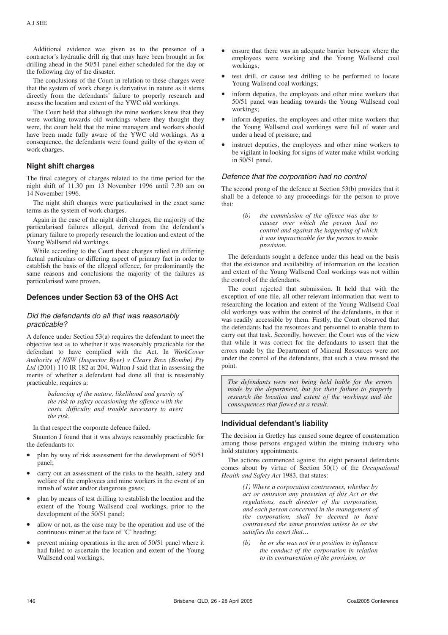Additional evidence was given as to the presence of a contractor's hydraulic drill rig that may have been brought in for drilling ahead in the 50/51 panel either scheduled for the day or the following day of the disaster.

The conclusions of the Court in relation to these charges were that the system of work charge is derivative in nature as it stems directly from the defendants' failure to properly research and assess the location and extent of the YWC old workings.

The Court held that although the mine workers knew that they were working towards old workings where they thought they were, the court held that the mine managers and workers should have been made fully aware of the YWC old workings. As a consequence, the defendants were found guilty of the system of work charges.

### **Night shift charges**

The final category of charges related to the time period for the night shift of 11.30 pm 13 November 1996 until 7.30 am on 14 November 1996.

The night shift charges were particularised in the exact same terms as the system of work charges.

Again in the case of the night shift charges, the majority of the particularised failures alleged, derived from the defendant's primary failure to properly research the location and extent of the Young Wallsend old workings.

While according to the Court these charges relied on differing factual particulars or differing aspect of primary fact in order to establish the basis of the alleged offence, for predominantly the same reasons and conclusions the majority of the failures as particularised were proven.

#### **Defences under Section 53 of the OHS Act**

#### Did the defendants do all that was reasonably practicable?

A defence under Section 53(a) requires the defendant to meet the objective test as to whether it was reasonably practicable for the defendant to have complied with the Act. In *WorkCover Authority of NSW (Inspector Byer) v Cleary Bros (Bombo) Pty Ltd* (2001) 110 IR 182 at 204, Walton J said that in assessing the merits of whether a defendant had done all that is reasonably practicable, requires a:

> *balancing of the nature, likelihood and gravity of the risk to safety occasioning the offence with the costs, difficulty and trouble necessary to avert the risk.*

In that respect the corporate defence failed.

Staunton J found that it was always reasonably practicable for the defendants to:

- plan by way of risk assessment for the development of 50/51 panel;
- carry out an assessment of the risks to the health, safety and welfare of the employees and mine workers in the event of an inrush of water and/or dangerous gases;
- plan by means of test drilling to establish the location and the extent of the Young Wallsend coal workings, prior to the development of the 50/51 panel;
- allow or not, as the case may be the operation and use of the continuous miner at the face of 'C' heading;
- prevent mining operations in the area of 50/51 panel where it had failed to ascertain the location and extent of the Young Wallsend coal workings;
- ensure that there was an adequate barrier between where the employees were working and the Young Wallsend coal workings;
- test drill, or cause test drilling to be performed to locate Young Wallsend coal workings;
- inform deputies, the employees and other mine workers that 50/51 panel was heading towards the Young Wallsend coal workings;
- inform deputies, the employees and other mine workers that the Young Wallsend coal workings were full of water and under a head of pressure; and
- instruct deputies, the employees and other mine workers to be vigilant in looking for signs of water make whilst working in 50/51 panel.

#### Defence that the corporation had no control

The second prong of the defence at Section 53(b) provides that it shall be a defence to any proceedings for the person to prove that:

*(b) the commission of the offence was due to causes over which the person had no control and against the happening of which it was impracticable for the person to make provision.*

The defendants sought a defence under this head on the basis that the existence and availability of information on the location and extent of the Young Wallsend Coal workings was not within the control of the defendants.

The court rejected that submission. It held that with the exception of one file, all other relevant information that went to researching the location and extent of the Young Wallsend Coal old workings was within the control of the defendants, in that it was readily accessible by them. Firstly, the Court observed that the defendants had the resources and personnel to enable them to carry out that task. Secondly, however, the Court was of the view that while it was correct for the defendants to assert that the errors made by the Department of Mineral Resources were not under the control of the defendants, that such a view missed the point.

*The defendants were not being held liable for the errors made by the department, but for their failure to properly research the location and extent of the workings and the consequences that flowed as a result.*

#### **Individual defendant's liability**

The decision in Gretley has caused some degree of consternation among those persons engaged within the mining industry who hold statutory appointments.

The actions commenced against the eight personal defendants comes about by virtue of Section 50(1) of the *Occupational Health and Safety Act* 1983, that states:

> *(1) Where a corporation contravenes, whether by act or omission any provision of this Act or the regulations, each director of the corporation, and each person concerned in the management of the corporation, shall be deemed to have contravened the same provision unless he or she satisfies the court that…*

*(b) he or she was not in a position to influence the conduct of the corporation in relation to its contravention of the provision, or*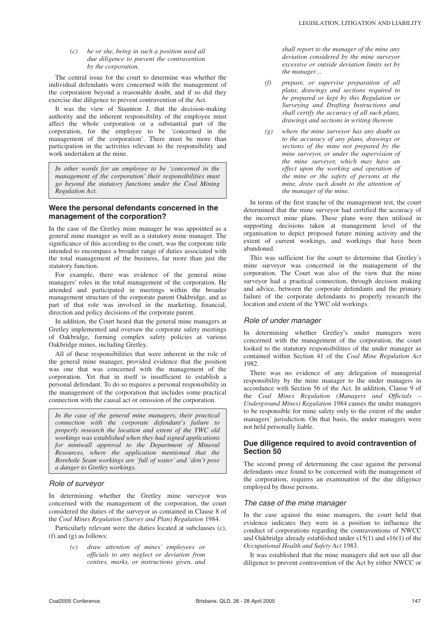#### *(c) he or she, being in such a position used all due diligence to prevent the contravention by the corporation.*

The central issue for the court to determine was whether the individual defendants were concerned with the management of the corporation beyond a reasonable doubt, and if so did they exercise due diligence to prevent contravention of the Act.

It was the view of Staunton J, that the decision-making authority and the inherent responsibility of the employee must affect the whole corporation or a substantial part of the corporation, for the employee to be 'concerned in the management of the corporation'. There must be more than participation in the activities relevant to the responsibility and work undertaken at the mine.

*In other words for an employee to be 'concerned in the management of the corporation' their responsibilities must go beyond the statutory functions under the Coal Mining Regulation Act.*

#### **Were the personal defendants concerned in the management of the corporation?**

In the case of the Gretley mine manager he was appointed as a general mine manager as well as a statutory mine manager. The significance of this according to the court, was the corporate title intended to encompass a broader range of duties associated with the total management of the business, far more than just the statutory function.

For example, there was evidence of the general mine managers' roles in the total management of the corporation. He attended and participated in meetings within the broader management structure of the corporate parent Oakbridge, and as part of that role was involved in the marketing, financial, direction and policy decisions of the corporate parent.

In addition, the Court heard that the general mine managers at Gretley implemented and oversaw the corporate safety meetings of Oakbridge, forming complex safety policies at various Oakbridge mines, including Gretley.

All of these responsibilities that were inherent in the role of the general mine manager, provided evidence that the position was one that was concerned with the management of the corporation. Yet that in itself is insufficient to establish a personal defendant. To do so requires a personal responsibility in the management of the corporation that includes some practical connection with the causal act or omission of the corporation.

*In the case of the general mine managers, their practical connection with the corporate defendant's failure to properly research the location and extent of the YWC old workings was established when they had signed applications for miniwall approval to the Department of Mineral Resources, where the application mentioned that the Borehole Seam workings are 'full of water' and 'don't pose a danger to Gretley workings.*

#### Role of surveyor

In determining whether the Gretley mine surveyor was concerned with the management of the corporation, the court considered the duties of the surveyor as contained in Clause 8 of the *Coal Mines Regulation (Survey and Plan) Regulation* 1984.

Particularly relevant were the duties located at subclauses (c), (f) and (g) as follows:

> *(c) draw attention of mines' employees or officials to any neglect or deviation from centres, marks, or instructions given, and*

*shall report to the manager of the mine any deviation considered by the mine surveyor excessive or outside deviation limits set by the manager…*

- *(f) prepare, or supervise preparation of all plans, drawings and sections required to be prepared or kept by this Regulation or Surveying and Drafting Instructions and shall certify the accuracy of all such plans, drawings and sections in writing thereon*
- *(g) where the mine surveyor has any doubt as to the accuracy of any plans, drawings or sections of the mine not prepared by the mine surveyor, or under the supervision of the mine surveyor, which may have an effect upon the working and operation of the mine or the safety of persons at the mine, draw such doubt to the attention of the manager of the mine.*

In terms of the first tranche of the management test, the court determined that the mine surveyor had certified the accuracy of the incorrect mine plans. These plans were then utilised in supporting decisions taken at management level of the organisation to depict proposed future mining activity and the extent of current workings, and workings that have been abandoned.

This was sufficient for the court to determine that Gretley's mine surveyor was concerned in the management of the corporation. The Court was also of the view that the mine surveyor had a practical connection, through decision making and advice, between the corporate defendants and the primary failure of the corporate defendants to properly research the location and extent of the YWC old workings.

#### Role of under manager

In determining whether Gretley's under managers were concerned with the management of the corporation, the court looked to the statutory responsibilities of the under manager as contained within Section 41 of the *Coal Mine Regulation Act* 1982.

There was no evidence of any delegation of managerial responsibility by the mine manager to the under managers in accordance with Section 56 of the Act. In addition, Clause 9 of the *Coal Mines Regulation (Managers and Officials – Underground Mines) Regulation* 1984 causes the under managers to be responsible for mine safety only to the extent of the under managers' jurisdiction. On that basis, the under managers were not held personally liable.

# **Due diligence required to avoid contravention of Section 50**

The second prong of determining the case against the personal defendants once found to be concerned with the management of the corporation, requires an examination of the due diligence employed by those persons.

#### The case of the mine manager

In the case against the mine managers, the court held that evidence indicates they were in a position to influence the conduct of corporations regarding the contraventions of NWCC and Oakbridge already established under s15(1) and s16(1) of the *Occupational Health and Safety Act* 1983.

It was established that the mine managers did not use all due diligence to prevent contravention of the Act by either NWCC or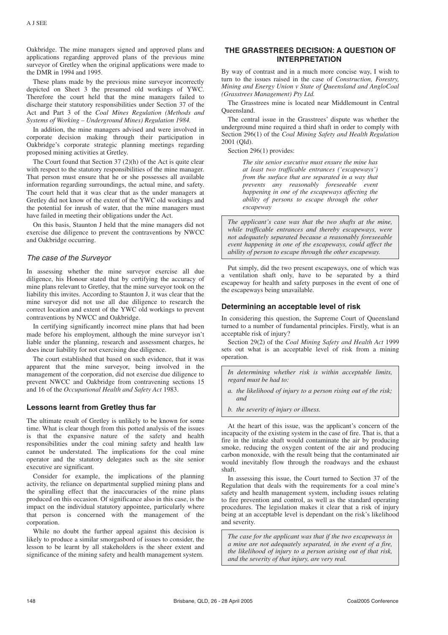Oakbridge. The mine managers signed and approved plans and applications regarding approved plans of the previous mine surveyor of Gretley when the original applications were made to the DMR in 1994 and 1995.

These plans made by the previous mine surveyor incorrectly depicted on Sheet 3 the presumed old workings of YWC. Therefore the court held that the mine managers failed to discharge their statutory responsibilities under Section 37 of the Act and Part 3 of the *Coal Mines Regulation (Methods and Systems of Working – Underground Mines) Regulation 1984.*

In addition, the mine managers advised and were involved in corporate decision making through their participation in Oakbridge's corporate strategic planning meetings regarding proposed mining activities at Gretley.

The Court found that Section 37 (2)(h) of the Act is quite clear with respect to the statutory responsibilities of the mine manager. That person must ensure that he or she possesses all available information regarding surroundings, the actual mine, and safety. The court held that it was clear that as the under managers at Gretley did not know of the extent of the YWC old workings and the potential for inrush of water, that the mine managers must have failed in meeting their obligations under the Act.

On this basis, Staunton J held that the mine managers did not exercise due diligence to prevent the contraventions by NWCC and Oakbridge occurring.

#### The case of the Surveyor

In assessing whether the mine surveyor exercise all due diligence, his Honour stated that by certifying the accuracy of mine plans relevant to Gretley, that the mine surveyor took on the liability this invites. According to Staunton J, it was clear that the mine surveyor did not use all due diligence to research the correct location and extent of the YWC old workings to prevent contraventions by NWCC and Oakbridge.

In certifying significantly incorrect mine plans that had been made before his employment, although the mine surveyor isn't liable under the planning, research and assessment charges, he does incur liability for not exercising due diligence.

The court established that based on such evidence, that it was apparent that the mine surveyor, being involved in the management of the corporation, did not exercise due diligence to prevent NWCC and Oakbridge from contravening sections 15 and 16 of the *Occupational Health and Safety Act* 1983.

# **Lessons learnt from Gretley thus far**

The ultimate result of Gretley is unlikely to be known for some time. What is clear though from this potted analysis of the issues is that the expansive nature of the safety and health responsibilities under the coal mining safety and health law cannot be understated. The implications for the coal mine operator and the statutory delegates such as the site senior executive are significant.

Consider for example, the implications of the planning activity, the reliance on departmental supplied mining plans and the spiralling effect that the inaccuracies of the mine plans produced on this occasion. Of significance also in this case, is the impact on the individual statutory appointee, particularly where that person is concerned with the management of the corporation.

While no doubt the further appeal against this decision is likely to produce a similar smorgasbord of issues to consider, the lesson to be learnt by all stakeholders is the sheer extent and significance of the mining safety and health management system.

# **THE GRASSTREES DECISION: A QUESTION OF INTERPRETATION**

By way of contrast and in a much more concise way, I wish to turn to the issues raised in the case of *Construction, Forestry, Mining and Energy Union v State of Queensland and AngloCoal (Grasstrees Management) Pty Ltd.*

The Grasstrees mine is located near Middlemount in Central Queensland.

The central issue in the Grasstrees' dispute was whether the underground mine required a third shaft in order to comply with Section 296(1) of the *Coal Mining Safety and Health Regulation* 2001 (Qld).

Section 296(1) provides:

*The site senior executive must ensure the mine has at least two trafficable entrances ('escapeways') from the surface that are separated in a way that prevents any reasonably foreseeable event happening in one of the escapeways affecting the ability of persons to escape through the other escapeway*

*The applicant's case was that the two shafts at the mine, while trafficable entrances and thereby escapeways, were not adequately separated because a reasonably foreseeable event happening in one of the escapeways, could affect the ability of person to escape through the other escapeway.*

Put simply, did the two present escapeways, one of which was a ventilation shaft only, have to be separated by a third escapeway for health and safety purposes in the event of one of the escapeways being unavailable.

# **Determining an acceptable level of risk**

In considering this question, the Supreme Court of Queensland turned to a number of fundamental principles. Firstly, what is an acceptable risk of injury?

Section 29(2) of the *Coal Mining Safety and Health Act* 1999 sets out what is an acceptable level of risk from a mining operation.

*In determining whether risk is within acceptable limits, regard must be had to:*

- *a. the likelihood of injury to a person rising out of the risk; and*
- *b. the severity of injury or illness.*

At the heart of this issue, was the applicant's concern of the incapacity of the existing system in the case of fire. That is, that a fire in the intake shaft would contaminate the air by producing smoke, reducing the oxygen content of the air and producing carbon monoxide, with the result being that the contaminated air would inevitably flow through the roadways and the exhaust shaft.

In assessing this issue, the Court turned to Section 37 of the Regulation that deals with the requirements for a coal mine's safety and health management system, including issues relating to fire prevention and control, as well as the standard operating procedures. The legislation makes it clear that a risk of injury being at an acceptable level is dependant on the risk's likelihood and severity.

*The case for the applicant was that if the two escapeways in a mine are not adequately separated, in the event of a fire, the likelihood of injury to a person arising out of that risk, and the severity of that injury, are very real.*